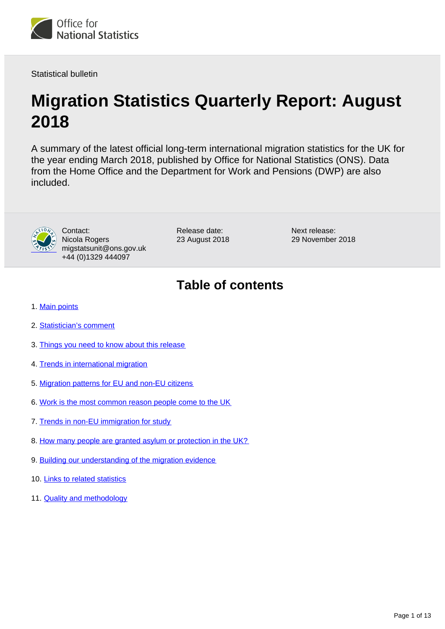

Statistical bulletin

# **Migration Statistics Quarterly Report: August 2018**

A summary of the latest official long-term international migration statistics for the UK for the year ending March 2018, published by Office for National Statistics (ONS). Data from the Home Office and the Department for Work and Pensions (DWP) are also included.



Contact: Nicola Rogers migstatsunit@ons.gov.uk +44 (0)1329 444097

Release date: 23 August 2018 Next release: 29 November 2018

## **Table of contents**

- 1. [Main points](#page-1-0)
- 2. [Statistician's comment](#page-1-1)
- 3. [Things you need to know about this release](#page-1-2)
- 4. [Trends in international migration](#page-3-0)
- 5. [Migration patterns for EU and non-EU citizens](#page-4-0)
- 6. [Work is the most common reason people come to the UK](#page-5-0)
- 7. [Trends in non-EU immigration for study](#page-8-0)
- 8. [How many people are granted asylum or protection in the UK?](#page-9-0)
- 9. [Building our understanding of the migration evidence](#page-9-1)
- 10. [Links to related statistics](#page-10-0)
- 11. [Quality and methodology](#page-11-0)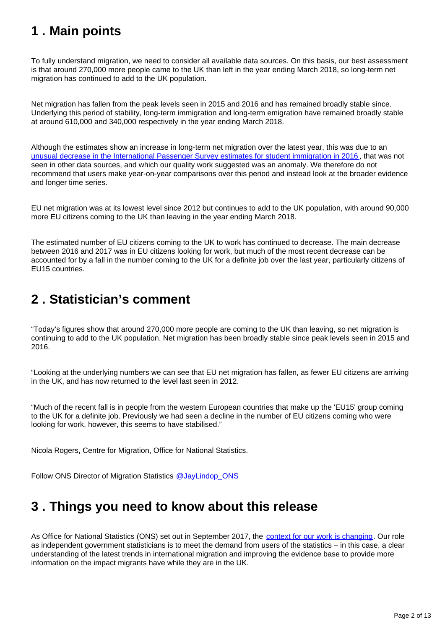## <span id="page-1-0"></span>**1 . Main points**

To fully understand migration, we need to consider all available data sources. On this basis, our best assessment is that around 270,000 more people came to the UK than left in the year ending March 2018, so long-term net migration has continued to add to the UK population.

Net migration has fallen from the peak levels seen in 2015 and 2016 and has remained broadly stable since. Underlying this period of stability, long-term immigration and long-term emigration have remained broadly stable at around 610,000 and 340,000 respectively in the year ending March 2018.

Although the estimates show an increase in long-term net migration over the latest year, this was due to an [unusual decrease in the International Passenger Survey estimates for student immigration in 2016](https://www.ons.gov.uk/peoplepopulationandcommunity/populationandmigration/internationalmigration/articles/reportonthecomplexityandqualityofinternationalmigrationstatistics/july2018) , that was not seen in other data sources, and which our quality work suggested was an anomaly. We therefore do not recommend that users make year-on-year comparisons over this period and instead look at the broader evidence and longer time series.

EU net migration was at its lowest level since 2012 but continues to add to the UK population, with around 90,000 more EU citizens coming to the UK than leaving in the year ending March 2018.

The estimated number of EU citizens coming to the UK to work has continued to decrease. The main decrease between 2016 and 2017 was in EU citizens looking for work, but much of the most recent decrease can be accounted for by a fall in the number coming to the UK for a definite job over the last year, particularly citizens of EU15 countries.

## <span id="page-1-1"></span>**2 . Statistician's comment**

"Today's figures show that around 270,000 more people are coming to the UK than leaving, so net migration is continuing to add to the UK population. Net migration has been broadly stable since peak levels seen in 2015 and 2016.

"Looking at the underlying numbers we can see that EU net migration has fallen, as fewer EU citizens are arriving in the UK, and has now returned to the level last seen in 2012.

"Much of the recent fall is in people from the western European countries that make up the 'EU15' group coming to the UK for a definite job. Previously we had seen a decline in the number of EU citizens coming who were looking for work, however, this seems to have stabilised."

Nicola Rogers, Centre for Migration, Office for National Statistics.

Follow ONS Director of Migration Statistics [@JayLindop\\_ONS](https://twitter.com/JayLindop_ONS)

## <span id="page-1-2"></span>**3 . Things you need to know about this release**

As Office for National Statistics (ONS) set out in September 2017, the [context for our work is changing](https://blog.ons.gov.uk/2017/09/22/ons-forum-new-era-for-migration-statistics/). Our role as independent government statisticians is to meet the demand from users of the statistics – in this case, a clear understanding of the latest trends in international migration and improving the evidence base to provide more information on the impact migrants have while they are in the UK.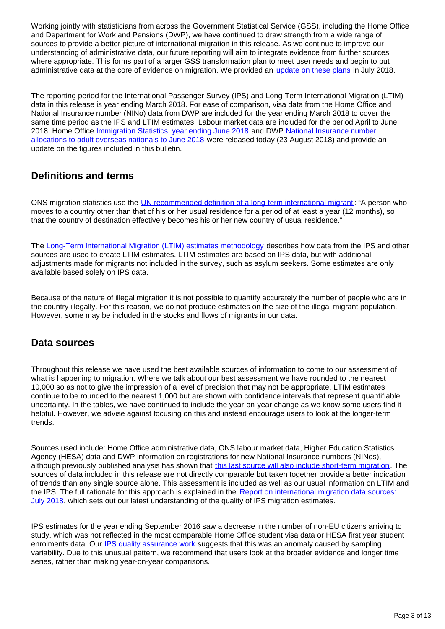Working jointly with statisticians from across the Government Statistical Service (GSS), including the Home Office and Department for Work and Pensions (DWP), we have continued to draw strength from a wide range of sources to provide a better picture of international migration in this release. As we continue to improve our understanding of administrative data, our future reporting will aim to integrate evidence from further sources where appropriate. This forms part of a larger GSS transformation plan to meet user needs and begin to put administrative data at the core of evidence on migration. We provided an [update on these plans](https://www.ons.gov.uk/peoplepopulationandcommunity/populationandmigration/internationalmigration/articles/reportonthecomplexityandqualityofinternationalmigrationstatistics/july2018) in July 2018.

The reporting period for the International Passenger Survey (IPS) and Long-Term International Migration (LTIM) data in this release is year ending March 2018. For ease of comparison, visa data from the Home Office and National Insurance number (NINo) data from DWP are included for the year ending March 2018 to cover the same time period as the IPS and LTIM estimates. Labour market data are included for the period April to June 2018. Home Office *Immigration Statistics, year ending June 2018* and DWP National Insurance number [allocations to adult overseas nationals to June 2018](https://www.gov.uk/government/collections/national-insurance-number-allocations-to-adult-overseas-nationals-entering-the-uk) were released today (23 August 2018) and provide an update on the figures included in this bulletin.

### **Definitions and terms**

ONS migration statistics use the [UN recommended definition of a long-term international migrant](https://unstats.un.org/unsd/demographic-social/sconcerns/migration/index.cshtml): "A person who moves to a country other than that of his or her usual residence for a period of at least a year (12 months), so that the country of destination effectively becomes his or her new country of usual residence."

The [Long-Term International Migration \(LTIM\) estimates methodology](https://www.ons.gov.uk/peoplepopulationandcommunity/populationandmigration/internationalmigration/methodologies/longterminternationalmigrationestimatesmethodology) describes how data from the IPS and other sources are used to create LTIM estimates. LTIM estimates are based on IPS data, but with additional adjustments made for migrants not included in the survey, such as asylum seekers. Some estimates are only available based solely on IPS data.

Because of the nature of illegal migration it is not possible to quantify accurately the number of people who are in the country illegally. For this reason, we do not produce estimates on the size of the illegal migrant population. However, some may be included in the stocks and flows of migrants in our data.

### **Data sources**

Throughout this release we have used the best available sources of information to come to our assessment of what is happening to migration. Where we talk about our best assessment we have rounded to the nearest 10,000 so as not to give the impression of a level of precision that may not be appropriate. LTIM estimates continue to be rounded to the nearest 1,000 but are shown with confidence intervals that represent quantifiable uncertainty. In the tables, we have continued to include the year-on-year change as we know some users find it helpful. However, we advise against focusing on this and instead encourage users to look at the longer-term trends.

Sources used include: Home Office administrative data, ONS labour market data, Higher Education Statistics Agency (HESA) data and DWP information on registrations for new National Insurance numbers (NINos), although previously published analysis has shown that [this last source will also include short-term migration](https://www.ons.gov.uk/peoplepopulationandcommunity/populationandmigration/internationalmigration/articles/noteonthedifferencebetweennationalinsurancenumberregistrationsandtheestimateoflongterminternationalmigration/2016). The sources of data included in this release are not directly comparable but taken together provide a better indication of trends than any single source alone. This assessment is included as well as our usual information on LTIM and the IPS. The full rationale for this approach is explained in the Report on international migration data sources: [July 2018](https://www.ons.gov.uk/peoplepopulationandcommunity/populationandmigration/internationalmigration/articles/reportonthecomplexityandqualityofinternationalmigrationstatistics/july2018), which sets out our latest understanding of the quality of IPS migration estimates.

IPS estimates for the year ending September 2016 saw a decrease in the number of non-EU citizens arriving to study, which was not reflected in the most comparable Home Office student visa data or HESA first year student enrolments data. Our [IPS quality assurance work](https://www.ons.gov.uk/peoplepopulationandcommunity/populationandmigration/internationalmigration/articles/reportonthecomplexityandqualityofinternationalmigrationstatistics/july2018) suggests that this was an anomaly caused by sampling variability. Due to this unusual pattern, we recommend that users look at the broader evidence and longer time series, rather than making year-on-year comparisons.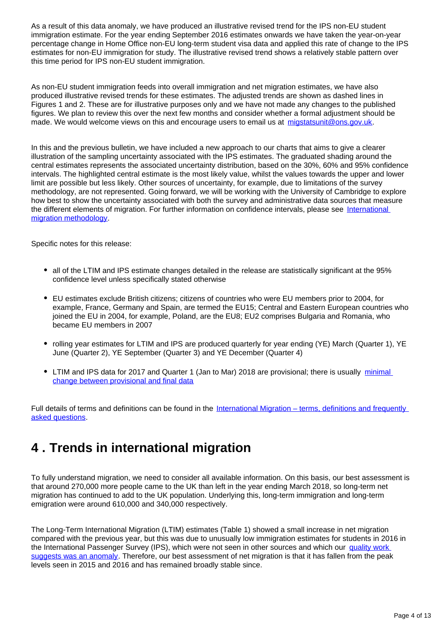As a result of this data anomaly, we have produced an illustrative revised trend for the IPS non-EU student immigration estimate. For the year ending September 2016 estimates onwards we have taken the year-on-year percentage change in Home Office non-EU long-term student visa data and applied this rate of change to the IPS estimates for non-EU immigration for study. The illustrative revised trend shows a relatively stable pattern over this time period for IPS non-EU student immigration.

As non-EU student immigration feeds into overall immigration and net migration estimates, we have also produced illustrative revised trends for these estimates. The adjusted trends are shown as dashed lines in Figures 1 and 2. These are for illustrative purposes only and we have not made any changes to the published figures. We plan to review this over the next few months and consider whether a formal adjustment should be made. We would welcome views on this and encourage users to email us at migstatsunit@ons.gov.uk.

In this and the previous bulletin, we have included a new approach to our charts that aims to give a clearer illustration of the sampling uncertainty associated with the IPS estimates. The graduated shading around the central estimates represents the associated uncertainty distribution, based on the 30%, 60% and 95% confidence intervals. The highlighted central estimate is the most likely value, whilst the values towards the upper and lower limit are possible but less likely. Other sources of uncertainty, for example, due to limitations of the survey methodology, are not represented. Going forward, we will be working with the University of Cambridge to explore how best to show the uncertainty associated with both the survey and administrative data sources that measure the different elements of migration. For further information on confidence intervals, please see [International](https://www.ons.gov.uk/peoplepopulationandcommunity/populationandmigration/internationalmigration/methodologies/internationalmigrationmethodology)  [migration methodology](https://www.ons.gov.uk/peoplepopulationandcommunity/populationandmigration/internationalmigration/methodologies/internationalmigrationmethodology).

Specific notes for this release:

- all of the LTIM and IPS estimate changes detailed in the release are statistically significant at the 95% confidence level unless specifically stated otherwise
- EU estimates exclude British citizens; citizens of countries who were EU members prior to 2004, for example, France, Germany and Spain, are termed the EU15; Central and Eastern European countries who joined the EU in 2004, for example, Poland, are the EU8; EU2 comprises Bulgaria and Romania, who became EU members in 2007
- rolling year estimates for LTIM and IPS are produced quarterly for year ending (YE) March (Quarter 1), YE June (Quarter 2), YE September (Quarter 3) and YE December (Quarter 4)
- LTIM and IPS data for 2017 and Quarter 1 (Jan to Mar) 2018 are provisional; there is usually minimal [change between provisional and final data](https://www.ons.gov.uk/peoplepopulationandcommunity/populationandmigration/internationalmigration/methodologies/longterminternationalmigrationestimatesmethodology)

Full details of terms and definitions can be found in the [International Migration – terms, definitions and frequently](https://www.ons.gov.uk/peoplepopulationandcommunity/populationandmigration/internationalmigration/methodologies/longterminternationalmigrationfrequentlyaskedquestionsandbackgroundnotes)  [asked questions.](https://www.ons.gov.uk/peoplepopulationandcommunity/populationandmigration/internationalmigration/methodologies/longterminternationalmigrationfrequentlyaskedquestionsandbackgroundnotes)

## <span id="page-3-0"></span>**4 . Trends in international migration**

To fully understand migration, we need to consider all available information. On this basis, our best assessment is that around 270,000 more people came to the UK than left in the year ending March 2018, so long-term net migration has continued to add to the UK population. Underlying this, long-term immigration and long-term emigration were around 610,000 and 340,000 respectively.

The Long-Term International Migration (LTIM) estimates (Table 1) showed a small increase in net migration compared with the previous year, but this was due to unusually low immigration estimates for students in 2016 in the International Passenger Survey (IPS), which were not seen in other sources and which our [quality work](https://www.ons.gov.uk/peoplepopulationandcommunity/populationandmigration/internationalmigration/articles/reportonthecomplexityandqualityofinternationalmigrationstatistics/july2018)  [suggests was an anomaly](https://www.ons.gov.uk/peoplepopulationandcommunity/populationandmigration/internationalmigration/articles/reportonthecomplexityandqualityofinternationalmigrationstatistics/july2018). Therefore, our best assessment of net migration is that it has fallen from the peak levels seen in 2015 and 2016 and has remained broadly stable since.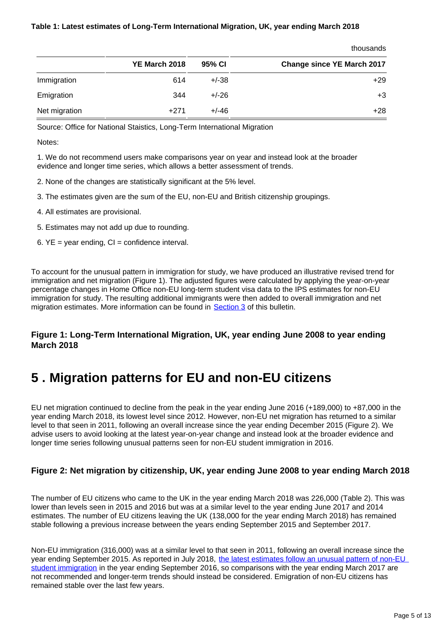#### **Table 1: Latest estimates of Long-Term International Migration, UK, year ending March 2018**

|               |               |         | uluusallus                        |
|---------------|---------------|---------|-----------------------------------|
|               | YE March 2018 | 95% CI  | <b>Change since YE March 2017</b> |
| Immigration   | 614           | $+/-38$ | $+29$                             |
| Emigration    | 344           | $+/-26$ | $+3$                              |
| Net migration | $+271$        | $+/-46$ | $+28$                             |

thousands

Source: Office for National Staistics, Long-Term International Migration

Notes:

1. We do not recommend users make comparisons year on year and instead look at the broader evidence and longer time series, which allows a better assessment of trends.

- 2. None of the changes are statistically significant at the 5% level.
- 3. The estimates given are the sum of the EU, non-EU and British citizenship groupings.
- 4. All estimates are provisional.
- 5. Estimates may not add up due to rounding.
- 6.  $YE = year$  ending,  $CI =$  confidence interval.

To account for the unusual pattern in immigration for study, we have produced an illustrative revised trend for immigration and net migration (Figure 1). The adjusted figures were calculated by applying the year-on-year percentage changes in Home Office non-EU long-term student visa data to the IPS estimates for non-EU immigration for study. The resulting additional immigrants were then added to overall immigration and net migration estimates. More information can be found in [Section 3](https://www.ons.gov.uk/peoplepopulationandcommunity/populationandmigration/internationalmigration/bulletins/migrationstatisticsquarterlyreport/august2018#things-you-need-to-know-about-this-release) of this bulletin.

#### **Figure 1: Long-Term International Migration, UK, year ending June 2008 to year ending March 2018**

### <span id="page-4-0"></span>**5 . Migration patterns for EU and non-EU citizens**

EU net migration continued to decline from the peak in the year ending June 2016 (+189,000) to +87,000 in the year ending March 2018, its lowest level since 2012. However, non-EU net migration has returned to a similar level to that seen in 2011, following an overall increase since the year ending December 2015 (Figure 2). We advise users to avoid looking at the latest year-on-year change and instead look at the broader evidence and longer time series following unusual patterns seen for non-EU student immigration in 2016.

#### **Figure 2: Net migration by citizenship, UK, year ending June 2008 to year ending March 2018**

The number of EU citizens who came to the UK in the year ending March 2018 was 226,000 (Table 2). This was lower than levels seen in 2015 and 2016 but was at a similar level to the year ending June 2017 and 2014 estimates. The number of EU citizens leaving the UK (138,000 for the year ending March 2018) has remained stable following a previous increase between the years ending September 2015 and September 2017.

Non-EU immigration (316,000) was at a similar level to that seen in 2011, following an overall increase since the year ending September 2015. As reported in July 2018, the latest estimates follow an unusual pattern of non-EU [student immigration](https://www.ons.gov.uk/peoplepopulationandcommunity/populationandmigration/internationalmigration/bulletins/migrationstatisticsquarterlyreport/july2018revisedfrommaycoveringtheperiodtodecember2017) in the year ending September 2016, so comparisons with the year ending March 2017 are not recommended and longer-term trends should instead be considered. Emigration of non-EU citizens has remained stable over the last few years.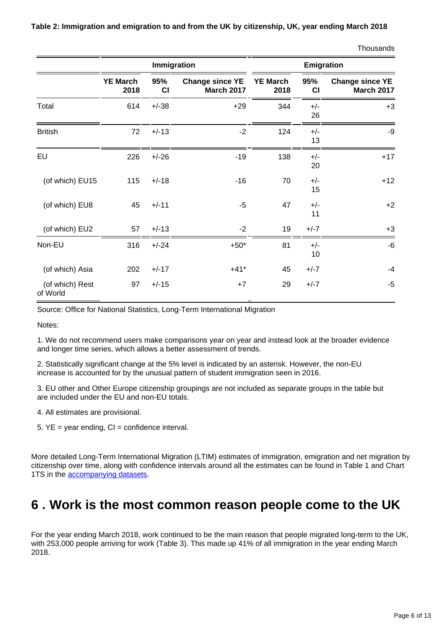**Table 2: Immigration and emigration to and from the UK by citizenship, UK, year ending March 2018**

|                             | Immigration             |           |                                             | Emigration              |             |                                             |
|-----------------------------|-------------------------|-----------|---------------------------------------------|-------------------------|-------------|---------------------------------------------|
|                             | <b>YE March</b><br>2018 | 95%<br>CI | <b>Change since YE</b><br><b>March 2017</b> | <b>YE March</b><br>2018 | 95%<br>CI   | <b>Change since YE</b><br><b>March 2017</b> |
| Total                       | 614                     | $+/-38$   | $+29$                                       | 344                     | $+/-$<br>26 | $+3$                                        |
| <b>British</b>              | 72                      | $+/-13$   | $-2$                                        | 124                     | $+/-$<br>13 | -9                                          |
| EU                          | 226                     | $+/-26$   | $-19$                                       | 138                     | $+/-$<br>20 | $+17$                                       |
| (of which) EU15             | 115                     | $+/-18$   | $-16$                                       | 70                      | $+/-$<br>15 | $+12$                                       |
| (of which) EU8              | 45                      | $+/-11$   | $-5$                                        | 47                      | $+/-$<br>11 | $+2$                                        |
| (of which) EU2              | 57                      | $+/-13$   | $-2$                                        | 19                      | $+/-7$      | $+3$                                        |
| Non-EU                      | 316                     | $+/-24$   | $+50*$                                      | 81                      | $+/-$<br>10 | -6                                          |
| (of which) Asia             | 202                     | $+/-17$   | $+41*$                                      | 45                      | $+/-7$      | $-4$                                        |
| (of which) Rest<br>of World | 97                      | $+/-15$   | $+7$                                        | 29                      | $+/-7$      | $-5$                                        |

Source: Office for National Statistics, Long-Term International Migration

Notes:

1. We do not recommend users make comparisons year on year and instead look at the broader evidence and longer time series, which allows a better assessment of trends.

2. Statistically significant change at the 5% level is indicated by an asterisk. However, the non-EU increase is accounted for by the unusual pattern of student immigration seen in 2016.

3. EU other and Other Europe citizenship groupings are not included as separate groups in the table but are included under the EU and non-EU totals.

- 4. All estimates are provisional.
- 5.  $YE = year$  ending,  $CI =$  confidence interval.

More detailed Long-Term International Migration (LTIM) estimates of immigration, emigration and net migration by citizenship over time, along with confidence intervals around all the estimates can be found in Table 1 and Chart 1TS in the [accompanying datasets](https://www.ons.gov.uk/peoplepopulationandcommunity/populationandmigration/internationalmigration/datasets/migrationstatisticsquarterlyreportprovisionallongterminternationalmigrationltimestimates).

### <span id="page-5-0"></span>**6 . Work is the most common reason people come to the UK**

For the year ending March 2018, work continued to be the main reason that people migrated long-term to the UK, with 253,000 people arriving for work (Table 3). This made up 41% of all immigration in the year ending March 2018.

**Thousands**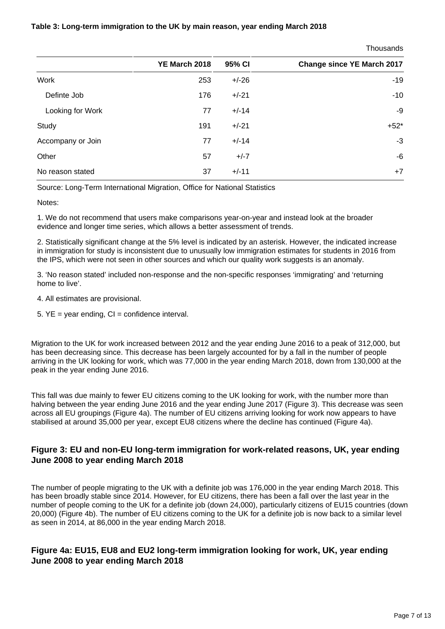#### **Table 3: Long-term immigration to the UK by main reason, year ending March 2018**

**Thousands** 

| YE March 2018 | 95% CI  | <b>Change since YE March 2017</b> |
|---------------|---------|-----------------------------------|
| 253           | $+/-26$ | $-19$                             |
| 176           | $+/-21$ | $-10$                             |
| 77            | $+/-14$ | $-9$                              |
| 191           | $+/-21$ | $+52*$                            |
| 77            | $+/-14$ | $-3$                              |
| 57            | $+/-7$  | $-6$                              |
| 37            | $+/-11$ | $+7$                              |
|               |         |                                   |

Source: Long-Term International Migration, Office for National Statistics

Notes:

1. We do not recommend that users make comparisons year-on-year and instead look at the broader evidence and longer time series, which allows a better assessment of trends.

2. Statistically significant change at the 5% level is indicated by an asterisk. However, the indicated increase in immigration for study is inconsistent due to unusually low immigration estimates for students in 2016 from the IPS, which were not seen in other sources and which our quality work suggests is an anomaly.

3. 'No reason stated' included non-response and the non-specific responses 'immigrating' and 'returning home to live'.

- 4. All estimates are provisional.
- $5.$  YE = year ending, CI = confidence interval.

Migration to the UK for work increased between 2012 and the year ending June 2016 to a peak of 312,000, but has been decreasing since. This decrease has been largely accounted for by a fall in the number of people arriving in the UK looking for work, which was 77,000 in the year ending March 2018, down from 130,000 at the peak in the year ending June 2016.

This fall was due mainly to fewer EU citizens coming to the UK looking for work, with the number more than halving between the year ending June 2016 and the year ending June 2017 (Figure 3). This decrease was seen across all EU groupings (Figure 4a). The number of EU citizens arriving looking for work now appears to have stabilised at around 35,000 per year, except EU8 citizens where the decline has continued (Figure 4a).

#### **Figure 3: EU and non-EU long-term immigration for work-related reasons, UK, year ending June 2008 to year ending March 2018**

The number of people migrating to the UK with a definite job was 176,000 in the year ending March 2018. This has been broadly stable since 2014. However, for EU citizens, there has been a fall over the last year in the number of people coming to the UK for a definite job (down 24,000), particularly citizens of EU15 countries (down 20,000) (Figure 4b). The number of EU citizens coming to the UK for a definite job is now back to a similar level as seen in 2014, at 86,000 in the year ending March 2018.

#### **Figure 4a: EU15, EU8 and EU2 long-term immigration looking for work, UK, year ending June 2008 to year ending March 2018**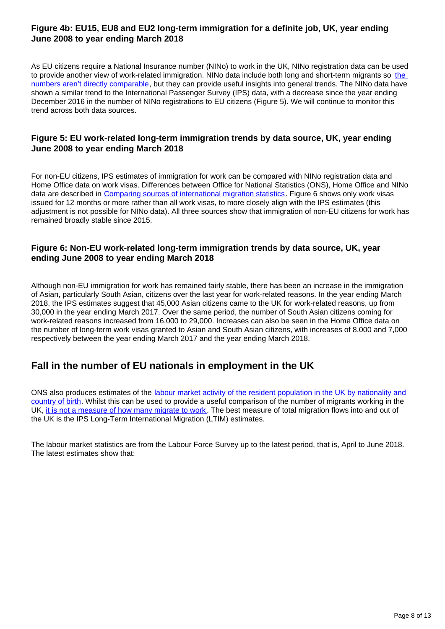#### **Figure 4b: EU15, EU8 and EU2 long-term immigration for a definite job, UK, year ending June 2008 to year ending March 2018**

As EU citizens require a National Insurance number (NINo) to work in the UK, NINo registration data can be used to provide another view of work-related immigration. NINo data include both long and short-term migrants so [the](https://www.ons.gov.uk/peoplepopulationandcommunity/populationandmigration/internationalmigration/articles/noteonthedifferencebetweennationalinsurancenumberregistrationsandtheestimateoflongterminternationalmigration/2016)  [numbers aren't directly comparable,](https://www.ons.gov.uk/peoplepopulationandcommunity/populationandmigration/internationalmigration/articles/noteonthedifferencebetweennationalinsurancenumberregistrationsandtheestimateoflongterminternationalmigration/2016) but they can provide useful insights into general trends. The NINo data have shown a similar trend to the International Passenger Survey (IPS) data, with a decrease since the year ending December 2016 in the number of NINo registrations to EU citizens (Figure 5). We will continue to monitor this trend across both data sources.

#### **Figure 5: EU work-related long-term immigration trends by data source, UK, year ending June 2008 to year ending March 2018**

For non-EU citizens, IPS estimates of immigration for work can be compared with NINo registration data and Home Office data on work visas. Differences between Office for National Statistics (ONS), Home Office and NINo data are described in [Comparing sources of international migration statistics](https://www.ons.gov.uk/peoplepopulationandcommunity/populationandmigration/internationalmigration/articles/comparingsourcesofinternationalmigrationstatistics/december2016). Figure 6 shows only work visas issued for 12 months or more rather than all work visas, to more closely align with the IPS estimates (this adjustment is not possible for NINo data). All three sources show that immigration of non-EU citizens for work has remained broadly stable since 2015.

#### **Figure 6: Non-EU work-related long-term immigration trends by data source, UK, year ending June 2008 to year ending March 2018**

Although non-EU immigration for work has remained fairly stable, there has been an increase in the immigration of Asian, particularly South Asian, citizens over the last year for work-related reasons. In the year ending March 2018, the IPS estimates suggest that 45,000 Asian citizens came to the UK for work-related reasons, up from 30,000 in the year ending March 2017. Over the same period, the number of South Asian citizens coming for work-related reasons increased from 16,000 to 29,000. Increases can also be seen in the Home Office data on the number of long-term work visas granted to Asian and South Asian citizens, with increases of 8,000 and 7,000 respectively between the year ending March 2017 and the year ending March 2018.

### **Fall in the number of EU nationals in employment in the UK**

ONS also produces estimates of the labour market activity of the resident population in the UK by nationality and [country of birth.](https://www.ons.gov.uk/employmentandlabourmarket/peopleinwork/employmentandemployeetypes/articles/ukandnonukpeopleinthelabourmarket/latest) Whilst this can be used to provide a useful comparison of the number of migrants working in the UK, [it is not a measure of how many migrate to work](https://www.ons.gov.uk/peoplepopulationandcommunity/populationandmigration/internationalmigration/articles/comparingsourcesofinternationalmigrationstatistics/december2016). The best measure of total migration flows into and out of the UK is the IPS Long-Term International Migration (LTIM) estimates.

The labour market statistics are from the Labour Force Survey up to the latest period, that is, April to June 2018. The latest estimates show that: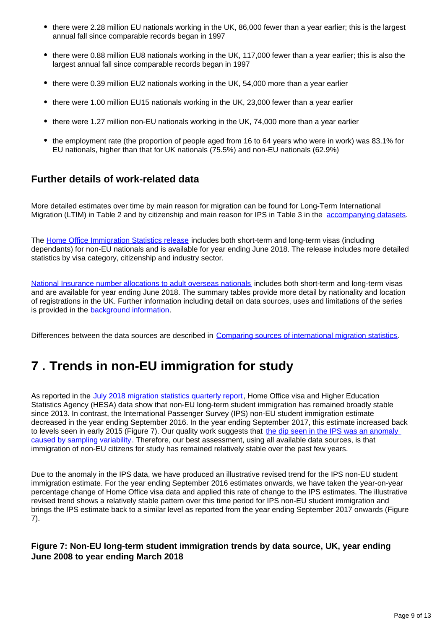- there were 2.28 million EU nationals working in the UK, 86,000 fewer than a year earlier; this is the largest annual fall since comparable records began in 1997
- there were 0.88 million EU8 nationals working in the UK, 117,000 fewer than a year earlier; this is also the largest annual fall since comparable records began in 1997
- there were 0.39 million EU2 nationals working in the UK, 54,000 more than a year earlier
- there were 1.00 million EU15 nationals working in the UK, 23,000 fewer than a year earlier
- there were 1.27 million non-EU nationals working in the UK, 74,000 more than a year earlier
- the employment rate (the proportion of people aged from 16 to 64 years who were in work) was 83.1% for EU nationals, higher than that for UK nationals (75.5%) and non-EU nationals (62.9%)

### **Further details of work-related data**

More detailed estimates over time by main reason for migration can be found for Long-Term International Migration (LTIM) in Table 2 and by citizenship and main reason for IPS in Table 3 in the [accompanying datasets](https://www.ons.gov.uk/peoplepopulationandcommunity/populationandmigration/internationalmigration/datasets/migrationstatisticsquarterlyreportprovisionallongterminternationalmigrationltimestimates).

The [Home Office Immigration Statistics release](https://www.gov.uk/government/statistics/immigration-statistics-year-ending-june-2018) includes both short-term and long-term visas (including dependants) for non-EU nationals and is available for year ending June 2018. The release includes more detailed statistics by visa category, citizenship and industry sector.

[National Insurance number allocations to adult overseas nationals](https://www.gov.uk/government/collections/national-insurance-number-allocations-to-adult-overseas-nationals-entering-the-uk) includes both short-term and long-term visas and are available for year ending June 2018. The summary tables provide more detail by nationality and location of registrations in the UK. Further information including detail on data sources, uses and limitations of the series is provided in the [background information.](https://www.gov.uk/government/statistics/nino-allocations-to-adult-overseas-nationals-entering-the-uk-background-information)

Differences between the data sources are described in [Comparing sources of international migration statistics](https://www.ons.gov.uk/peoplepopulationandcommunity/populationandmigration/internationalmigration/articles/comparingsourcesofinternationalmigrationstatistics/december2016).

## <span id="page-8-0"></span>**7 . Trends in non-EU immigration for study**

As reported in the [July 2018 migration statistics quarterly report,](https://www.ons.gov.uk/peoplepopulationandcommunity/populationandmigration/internationalmigration/bulletins/migrationstatisticsquarterlyreport/july2018revisedfrommaycoveringtheperiodtodecember2017) Home Office visa and Higher Education Statistics Agency (HESA) data show that non-EU long-term student immigration has remained broadly stable since 2013. In contrast, the International Passenger Survey (IPS) non-EU student immigration estimate decreased in the year ending September 2016. In the year ending September 2017, this estimate increased back to levels seen in early 2015 (Figure 7). Our quality work suggests that the dip seen in the IPS was an anomaly [caused by sampling variability](https://www.ons.gov.uk/peoplepopulationandcommunity/populationandmigration/internationalmigration/articles/reportonthecomplexityandqualityofinternationalmigrationstatistics/july2018). Therefore, our best assessment, using all available data sources, is that immigration of non-EU citizens for study has remained relatively stable over the past few years.

Due to the anomaly in the IPS data, we have produced an illustrative revised trend for the IPS non-EU student immigration estimate. For the year ending September 2016 estimates onwards, we have taken the year-on-year percentage change of Home Office visa data and applied this rate of change to the IPS estimates. The illustrative revised trend shows a relatively stable pattern over this time period for IPS non-EU student immigration and brings the IPS estimate back to a similar level as reported from the year ending September 2017 onwards (Figure 7).

#### **Figure 7: Non-EU long-term student immigration trends by data source, UK, year ending June 2008 to year ending March 2018**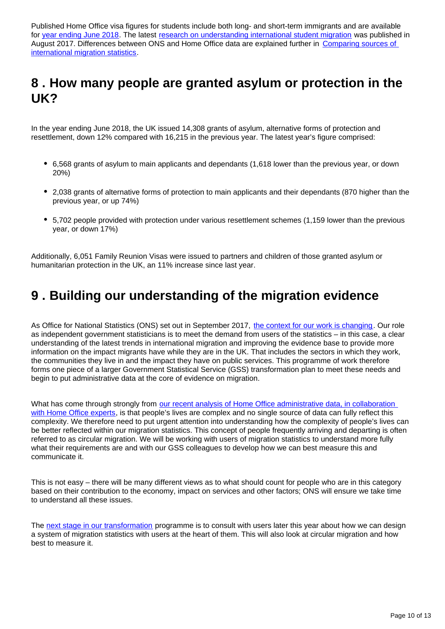Published Home Office visa figures for students include both long- and short-term immigrants and are available for [year ending June 2018](https://www.gov.uk/government/statistics/immigration-statistics-year-ending-june-2018). The latest [research on understanding international student migration](https://www.ons.gov.uk/peoplepopulationandcommunity/populationandmigration/internationalmigration/articles/whatshappeningwithinternationalstudentmigration/2017-08-24) was published in August 2017. Differences between ONS and Home Office data are explained further in Comparing sources of [international migration statistics.](https://www.ons.gov.uk/peoplepopulationandcommunity/populationandmigration/internationalmigration/articles/comparingsourcesofinternationalmigrationstatistics/december2016)

### <span id="page-9-0"></span>**8 . How many people are granted asylum or protection in the UK?**

In the year ending June 2018, the UK issued 14,308 grants of asylum, alternative forms of protection and resettlement, down 12% compared with 16,215 in the previous year. The latest year's figure comprised:

- 6,568 grants of asylum to main applicants and dependants (1,618 lower than the previous year, or down 20%)
- 2,038 grants of alternative forms of protection to main applicants and their dependants (870 higher than the previous year, or up 74%)
- 5,702 people provided with protection under various resettlement schemes (1,159 lower than the previous year, or down 17%)

Additionally, 6,051 Family Reunion Visas were issued to partners and children of those granted asylum or humanitarian protection in the UK, an 11% increase since last year.

### <span id="page-9-1"></span>**9 . Building our understanding of the migration evidence**

As Office for National Statistics (ONS) set out in September 2017, [the context for our work is changing](https://blog.ons.gov.uk/2017/09/22/ons-forum-new-era-for-migration-statistics/). Our role as independent government statisticians is to meet the demand from users of the statistics – in this case, a clear understanding of the latest trends in international migration and improving the evidence base to provide more information on the impact migrants have while they are in the UK. That includes the sectors in which they work, the communities they live in and the impact they have on public services. This programme of work therefore forms one piece of a larger Government Statistical Service (GSS) transformation plan to meet these needs and begin to put administrative data at the core of evidence on migration.

What has come through strongly from our recent analysis of Home Office administrative data, in collaboration [with Home Office experts,](https://www.ons.gov.uk/peoplepopulationandcommunity/populationandmigration/internationalmigration/articles/reportonthecomplexityandqualityofinternationalmigrationstatistics/july2018) is that people's lives are complex and no single source of data can fully reflect this complexity. We therefore need to put urgent attention into understanding how the complexity of people's lives can be better reflected within our migration statistics. This concept of people frequently arriving and departing is often referred to as circular migration. We will be working with users of migration statistics to understand more fully what their requirements are and with our GSS colleagues to develop how we can best measure this and communicate it.

This is not easy – there will be many different views as to what should count for people who are in this category based on their contribution to the economy, impact on services and other factors; ONS will ensure we take time to understand all these issues.

The [next stage in our transformation](https://www.ons.gov.uk/peoplepopulationandcommunity/populationandmigration/internationalmigration/articles/migrationstatisticstransformationupdate/2018-05-24) programme is to consult with users later this year about how we can design a system of migration statistics with users at the heart of them. This will also look at circular migration and how best to measure it.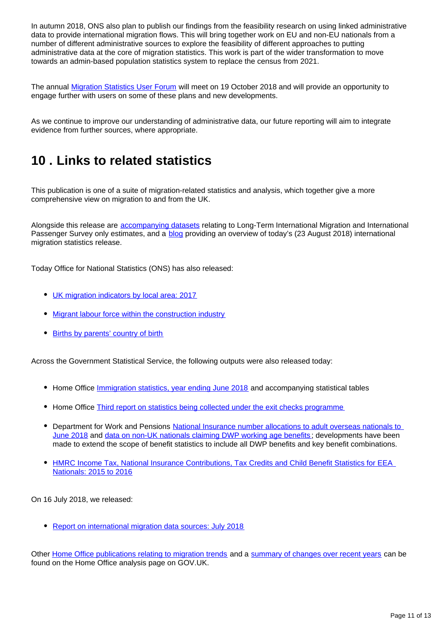In autumn 2018, ONS also plan to publish our findings from the feasibility research on using linked administrative data to provide international migration flows. This will bring together work on EU and non-EU nationals from a number of different administrative sources to explore the feasibility of different approaches to putting administrative data at the core of migration statistics. This work is part of the wider transformation to move towards an admin-based population statistics system to replace the census from 2021.

The annual [Migration Statistics User Forum](http://www.statsusernet.org.uk/communities/community-home?CommunityKey=33d7060a-850a-4038-a1a6-65d227530dc5) will meet on 19 October 2018 and will provide an opportunity to engage further with users on some of these plans and new developments.

As we continue to improve our understanding of administrative data, our future reporting will aim to integrate evidence from further sources, where appropriate.

## <span id="page-10-0"></span>**10 . Links to related statistics**

This publication is one of a suite of migration-related statistics and analysis, which together give a more comprehensive view on migration to and from the UK.

Alongside this release are [accompanying datasets](https://www.ons.gov.uk/peoplepopulationandcommunity/populationandmigration/internationalmigration/datasets/migrationstatisticsquarterlyreportprovisionallongterminternationalmigrationltimestimates) relating to Long-Term International Migration and International Passenger Survey only estimates, and a **[blog](https://blog.ons.gov.uk/2018/08/23/migration-remains-stable-but-fewer-EU-citizens-arrive-for-definite-jobs/)** providing an overview of today's (23 August 2018) international migration statistics release.

Today Office for National Statistics (ONS) has also released:

- [UK migration indicators by local area: 2017](https://www.ons.gov.uk/peoplepopulationandcommunity/populationandmigration/migrationwithintheuk/datasets/localareamigrationindicatorsunitedkingdom)
- [Migrant labour force within the construction industry](https://www.ons.gov.uk/peoplepopulationandcommunity/populationandmigration/internationalmigration/articles/migrantlabourforcewithintheconstructionindustry/august2018)
- [Births by parents' country of birth](https://www.ons.gov.uk/peoplepopulationandcommunity/birthsdeathsandmarriages/livebirths/bulletins/parentscountryofbirthenglandandwales/2017)

Across the Government Statistical Service, the following outputs were also released today:

- Home Office *Immigration statistics, year ending June 2018* and accompanying statistical tables
- Home Office [Third report on statistics being collected under the exit checks programme](https://www.gov.uk/government/statistics/third-report-on-statistics-being-collected-under-the-exit-checks-programme)
- Department for Work and Pensions National Insurance number allocations to adult overseas nationals to [June 2018](https://www.gov.uk/government/collections/national-insurance-number-allocations-to-adult-overseas-nationals-entering-the-uk) and [data on non-UK nationals claiming DWP working age benefits](https://www.gov.uk/government/collections/national-insurance-number-allocations-to-adult-overseas-nationals-entering-the-uk) ; developments have been made to extend the scope of benefit statistics to include all DWP benefits and key benefit combinations.
- HMRC Income Tax, National Insurance Contributions, Tax Credits and Child Benefit Statistics for EEA [Nationals: 2015 to 2016](https://www.gov.uk/government/statistics/announcements/income-tax-nics-tax-credits-and-child-benefit-statistics-for-eea-nationals-2015-to-2016)

On 16 July 2018, we released:

• [Report on international migration data sources: July 2018](https://www.ons.gov.uk/peoplepopulationandcommunity/populationandmigration/internationalmigration/articles/reportonthecomplexityandqualityofinternationalmigrationstatistics/july2018)

Other [Home Office publications relating to migration trends](https://www.gov.uk/government/collections/migration-research-and-analysis) and a [summary of changes over recent years](https://www.gov.uk/government/publications/developments-in-migration-statistics-since-2010) can be found on the Home Office analysis page on GOV.UK.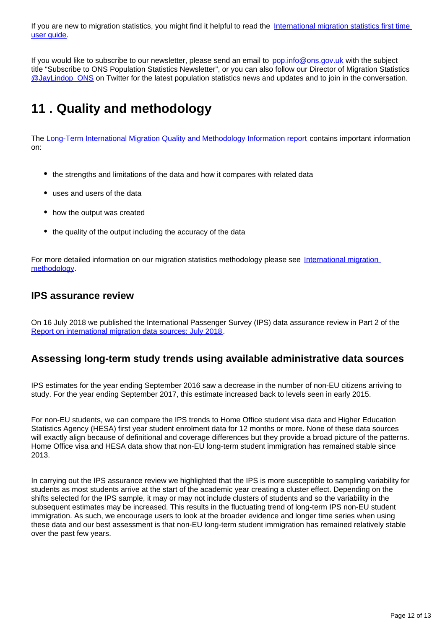If you are new to migration statistics, you might find it helpful to read the International migration statistics first time [user guide](https://www.ons.gov.uk/peoplepopulationandcommunity/populationandmigration/internationalmigration/methodologies/migrationstatisticsfirsttimeuserguideglossaryandlistofproducts).

If you would like to subscribe to our newsletter, please send an email to pop.info@ons.gov.uk with the subject title "Subscribe to ONS Population Statistics Newsletter", or you can also follow our Director of Migration Statistics [@JayLindop\\_ONS](https://twitter.com/JayLindop_ONS) on Twitter for the latest population statistics news and updates and to join in the conversation.

## <span id="page-11-0"></span>**11 . Quality and methodology**

The [Long-Term International Migration Quality and Methodology Information report](https://www.ons.gov.uk/peoplepopulationandcommunity/populationandmigration/populationestimates/methodologies/longterminternationalmigrationqmi) contains important information on:

- the strengths and limitations of the data and how it compares with related data
- uses and users of the data
- how the output was created
- the quality of the output including the accuracy of the data

For more detailed information on our migration statistics methodology please see [International migration](https://www.ons.gov.uk/peoplepopulationandcommunity/populationandmigration/internationalmigration/methodologies/internationalmigrationmethodology)  [methodology.](https://www.ons.gov.uk/peoplepopulationandcommunity/populationandmigration/internationalmigration/methodologies/internationalmigrationmethodology)

#### **IPS assurance review**

On 16 July 2018 we published the International Passenger Survey (IPS) data assurance review in Part 2 of the [Report on international migration data sources: July 2018](https://www.ons.gov.uk/peoplepopulationandcommunity/populationandmigration/internationalmigration/articles/reportonthecomplexityandqualityofinternationalmigrationstatistics/july2018).

### **Assessing long-term study trends using available administrative data sources**

IPS estimates for the year ending September 2016 saw a decrease in the number of non-EU citizens arriving to study. For the year ending September 2017, this estimate increased back to levels seen in early 2015.

For non-EU students, we can compare the IPS trends to Home Office student visa data and Higher Education Statistics Agency (HESA) first year student enrolment data for 12 months or more. None of these data sources will exactly align because of definitional and coverage differences but they provide a broad picture of the patterns. Home Office visa and HESA data show that non-EU long-term student immigration has remained stable since 2013.

In carrying out the IPS assurance review we highlighted that the IPS is more susceptible to sampling variability for students as most students arrive at the start of the academic year creating a cluster effect. Depending on the shifts selected for the IPS sample, it may or may not include clusters of students and so the variability in the subsequent estimates may be increased. This results in the fluctuating trend of long-term IPS non-EU student immigration. As such, we encourage users to look at the broader evidence and longer time series when using these data and our best assessment is that non-EU long-term student immigration has remained relatively stable over the past few years.